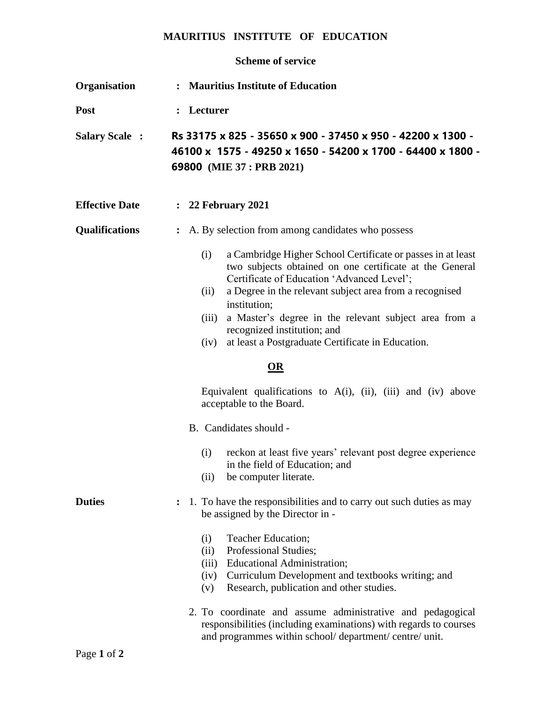## **MAURITIUS INSTITUTE OF EDUCATION**

## **Scheme of service**

| Organisation          | : Mauritius Institute of Education                                                                                                                                                                                                                                                                                                                                                                                           |
|-----------------------|------------------------------------------------------------------------------------------------------------------------------------------------------------------------------------------------------------------------------------------------------------------------------------------------------------------------------------------------------------------------------------------------------------------------------|
| Post                  | : Lecturer                                                                                                                                                                                                                                                                                                                                                                                                                   |
| <b>Salary Scale:</b>  | Rs 33175 x 825 - 35650 x 900 - 37450 x 950 - 42200 x 1300 -<br>46100 x 1575 - 49250 x 1650 - 54200 x 1700 - 64400 x 1800 -<br>69800 (MIE 37 : PRB 2021)                                                                                                                                                                                                                                                                      |
| <b>Effective Date</b> | : 22 February 2021                                                                                                                                                                                                                                                                                                                                                                                                           |
| <b>Qualifications</b> | A. By selection from among candidates who possess<br>$\ddot{\cdot}$                                                                                                                                                                                                                                                                                                                                                          |
|                       | a Cambridge Higher School Certificate or passes in at least<br>(i)<br>two subjects obtained on one certificate at the General<br>Certificate of Education 'Advanced Level';<br>a Degree in the relevant subject area from a recognised<br>(ii)<br>institution;<br>a Master's degree in the relevant subject area from a<br>(iii)<br>recognized institution; and<br>at least a Postgraduate Certificate in Education.<br>(iv) |
|                       | $\underline{\mathbf{OR}}$                                                                                                                                                                                                                                                                                                                                                                                                    |
|                       | Equivalent qualifications to $A(i)$ , (ii), (iii) and (iv) above<br>acceptable to the Board.                                                                                                                                                                                                                                                                                                                                 |
|                       | B. Candidates should -                                                                                                                                                                                                                                                                                                                                                                                                       |
|                       | reckon at least five years' relevant post degree experience<br>(i)<br>in the field of Education; and<br>(ii)<br>be computer literate.                                                                                                                                                                                                                                                                                        |
| <b>Duties</b>         | 1. To have the responsibilities and to carry out such duties as may<br>be assigned by the Director in -                                                                                                                                                                                                                                                                                                                      |
|                       | Teacher Education;<br>(i)<br>Professional Studies;<br>(ii)<br><b>Educational Administration;</b><br>(iii)<br>Curriculum Development and textbooks writing; and<br>(iv)<br>Research, publication and other studies.<br>(v)                                                                                                                                                                                                    |
|                       | 2. To coordinate and assume administrative and pedagogical<br>responsibilities (including examinations) with regards to courses<br>and programmes within school/department/centre/unit.                                                                                                                                                                                                                                      |